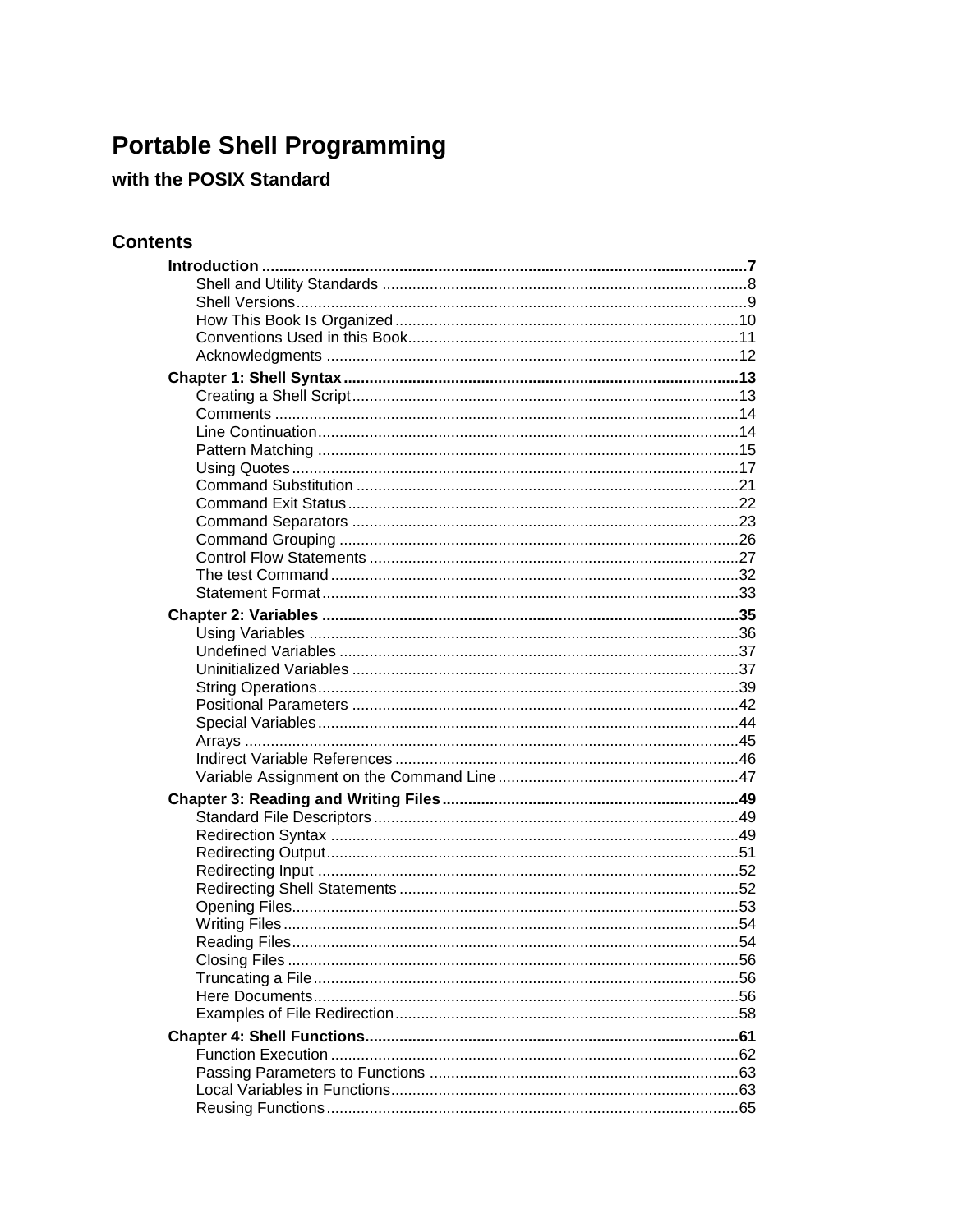## **Portable Shell Programming**

## with the POSIX Standard

## **Contents**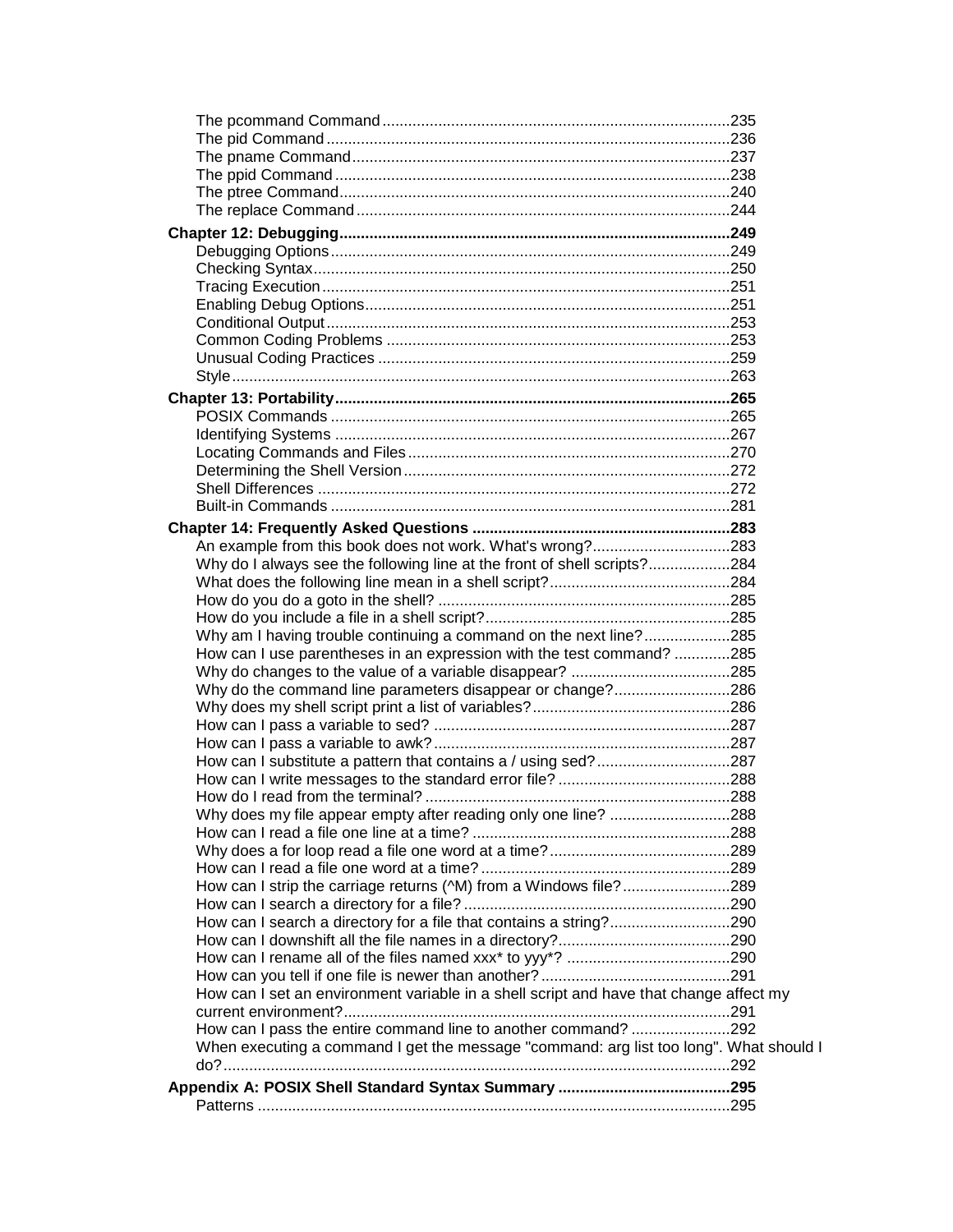| Why do I always see the following line at the front of shell scripts?284               |  |
|----------------------------------------------------------------------------------------|--|
|                                                                                        |  |
|                                                                                        |  |
|                                                                                        |  |
| Why am I having trouble continuing a command on the next line?285                      |  |
| How can I use parentheses in an expression with the test command? 285                  |  |
|                                                                                        |  |
| Why do the command line parameters disappear or change?286                             |  |
|                                                                                        |  |
|                                                                                        |  |
|                                                                                        |  |
| How can I substitute a pattern that contains a / using sed?287                         |  |
|                                                                                        |  |
|                                                                                        |  |
| Why does my file appear empty after reading only one line? 288                         |  |
|                                                                                        |  |
|                                                                                        |  |
|                                                                                        |  |
| How can I strip the carriage returns (^M) from a Windows file?289                      |  |
|                                                                                        |  |
| How can I search a directory for a file that contains a string?290                     |  |
|                                                                                        |  |
|                                                                                        |  |
|                                                                                        |  |
| How can I set an environment variable in a shell script and have that change affect my |  |
|                                                                                        |  |
| How can I pass the entire command line to another command? 292                         |  |
| When executing a command I get the message "command: arg list too long". What should I |  |
|                                                                                        |  |
|                                                                                        |  |
|                                                                                        |  |